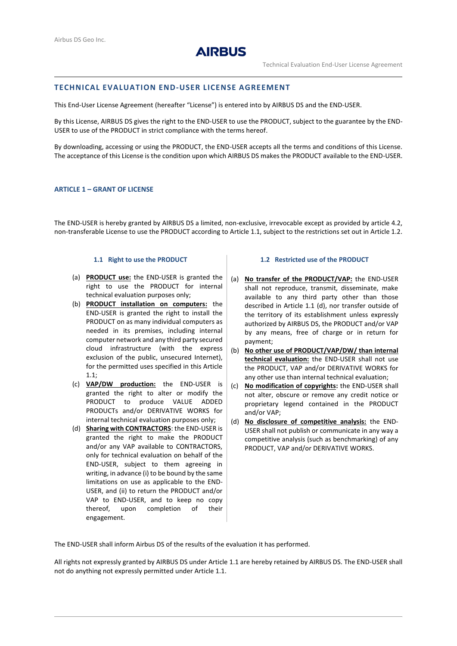

## **TECHNICAL EVALUATION END-USER LICENSE AGREEMENT**

This End-User License Agreement (hereafter "License") is entered into by AIRBUS DS and the END-USER.

By this License, AIRBUS DS gives the right to the END-USER to use the PRODUCT, subject to the guarantee by the END-USER to use of the PRODUCT in strict compliance with the terms hereof.

By downloading, accessing or using the PRODUCT, the END-USER accepts all the terms and conditions of this License. The acceptance of this License is the condition upon which AIRBUS DS makes the PRODUCT available to the END-USER.

#### **ARTICLE 1 – GRANT OF LICENSE**

The END-USER is hereby granted by AIRBUS DS a limited, non-exclusive, irrevocable except as provided by article [4.2,](#page-2-0) non-transferable License to use the PRODUCT according to Article [1.1,](#page-0-0) subject to the restrictions set out in Article 1.2.

#### **1.1 Right to use the PRODUCT**

- <span id="page-0-0"></span>(a) **PRODUCT use:** the END-USER is granted the right to use the PRODUCT for internal technical evaluation purposes only;
- (b) **PRODUCT installation on computers:** the END-USER is granted the right to install the PRODUCT on as many individual computers as needed in its premises, including internal computer network and any third party secured cloud infrastructure (with the express exclusion of the public, unsecured Internet), for the permitted uses specified in this Article [1.1;](#page-0-0)
- (c) **VAP/DW production:** the END-USER is granted the right to alter or modify the PRODUCT to produce VALUE ADDED PRODUCTs and/or DERIVATIVE WORKS for internal technical evaluation purposes only;
- <span id="page-0-1"></span>(d) **Sharing with CONTRACTORS**: the END-USER is granted the right to make the PRODUCT and/or any VAP available to CONTRACTORS, only for technical evaluation on behalf of the END-USER, subject to them agreeing in writing, in advance (i) to be bound by the same limitations on use as applicable to the END-USER, and (ii) to return the PRODUCT and/or VAP to END-USER, and to keep no copy thereof, upon completion of their engagement.

#### **1.2 Restricted use of the PRODUCT**

- (a) **No transfer of the PRODUCT/VAP:** the END-USER shall not reproduce, transmit, disseminate, make available to any third party other than those described in Article 1.1 [\(d\),](#page-0-1) nor transfer outside of the territory of its establishment unless expressly authorized by AIRBUS DS, the PRODUCT and/or VAP by any means, free of charge or in return for payment;
- (b) **No other use of PRODUCT/VAP/DW/ than internal technical evaluation:** the END-USER shall not use the PRODUCT, VAP and/or DERIVATIVE WORKS for any other use than internal technical evaluation;
- (c) **No modification of copyrights:** the END-USER shall not alter, obscure or remove any credit notice or proprietary legend contained in the PRODUCT and/or VAP;
- (d) **No disclosure of competitive analysis:** the END-USER shall not publish or communicate in any way a competitive analysis (such as benchmarking) of any PRODUCT, VAP and/or DERIVATIVE WORKS.

The END-USER shall inform Airbus DS of the results of the evaluation it has performed.

All rights not expressly granted by AIRBUS DS under Article [1.1](#page-0-0) are hereby retained by AIRBUS DS. The END-USER shall not do anything not expressly permitted under Article [1.1.](#page-0-0)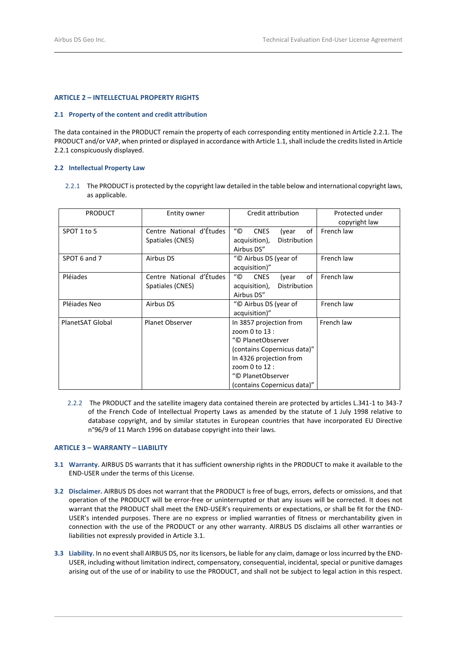## **ARTICLE 2 – INTELLECTUAL PROPERTY RIGHTS**

## **2.1 Property of the content and credit attribution**

The data contained in the PRODUCT remain the property of each corresponding entity mentioned in Article 2.2.1. The PRODUCT and/or VAP, when printed or displayed in accordance with Articl[e 1.1,](#page-0-0) shall include the credits listed in Article 2.2.1 conspicuously displayed.

## **2.2 Intellectual Property Law**

2.2.1 The PRODUCT is protected by the copyright law detailed in the table below and international copyright laws, as applicable.

| <b>PRODUCT</b>   | Entity owner                                 | Credit attribution                                                                                                                                                                                 | Protected under<br>copyright law |
|------------------|----------------------------------------------|----------------------------------------------------------------------------------------------------------------------------------------------------------------------------------------------------|----------------------------------|
| SPOT 1 to 5      | Centre National d'Études<br>Spatiales (CNES) | $^{\prime\prime}$ C<br><b>CNES</b><br>of<br>(year<br>Distribution<br>acquisition),<br>Airbus DS"                                                                                                   | French law                       |
| SPOT 6 and 7     | Airbus DS                                    | "© Airbus DS (year of<br>acquisition)"                                                                                                                                                             | French law                       |
| Pléiades         | Centre National d'Études<br>Spatiales (CNES) | $^{\prime\prime}$ (C)<br><b>CNES</b><br>of<br>(year<br>acquisition),<br>Distribution<br>Airbus DS"                                                                                                 | French law                       |
| Pléjades Neo     | Airbus DS                                    | "© Airbus DS (year of<br>acquisition)"                                                                                                                                                             | French law                       |
| PlanetSAT Global | <b>Planet Observer</b>                       | In 3857 projection from<br>zoom $0$ to $13$ :<br>"© PlanetObserver<br>(contains Copernicus data)"<br>In 4326 projection from<br>zoom 0 to 12 :<br>"© PlanetObserver<br>(contains Copernicus data)" | French law                       |

 2.2.2The PRODUCT and the satellite imagery data contained therein are protected by articles L.341-1 to 343-7 of the French Code of Intellectual Property Laws as amended by the statute of 1 July 1998 relative to database copyright, and by similar statutes in European countries that have incorporated EU Directive n°96/9 of 11 March 1996 on database copyright into their laws.

# **ARTICLE 3 – WARRANTY – LIABILITY**

- <span id="page-1-0"></span>**3.1 Warranty.** AIRBUS DS warrants that it has sufficient ownership rights in the PRODUCT to make it available to the END-USER under the terms of this License.
- **3.2 Disclaimer.** AIRBUS DS does not warrant that the PRODUCT is free of bugs, errors, defects or omissions, and that operation of the PRODUCT will be error-free or uninterrupted or that any issues will be corrected. It does not warrant that the PRODUCT shall meet the END-USER's requirements or expectations, or shall be fit for the END-USER's intended purposes. There are no express or implied warranties of fitness or merchantability given in connection with the use of the PRODUCT or any other warranty. AIRBUS DS disclaims all other warranties or liabilities not expressly provided in Articl[e 3.1.](#page-1-0)
- **3.3 Liability.** In no event shall AIRBUS DS, nor its licensors, be liable for any claim, damage or loss incurred by the END-USER, including without limitation indirect, compensatory, consequential, incidental, special or punitive damages arising out of the use of or inability to use the PRODUCT, and shall not be subject to legal action in this respect.